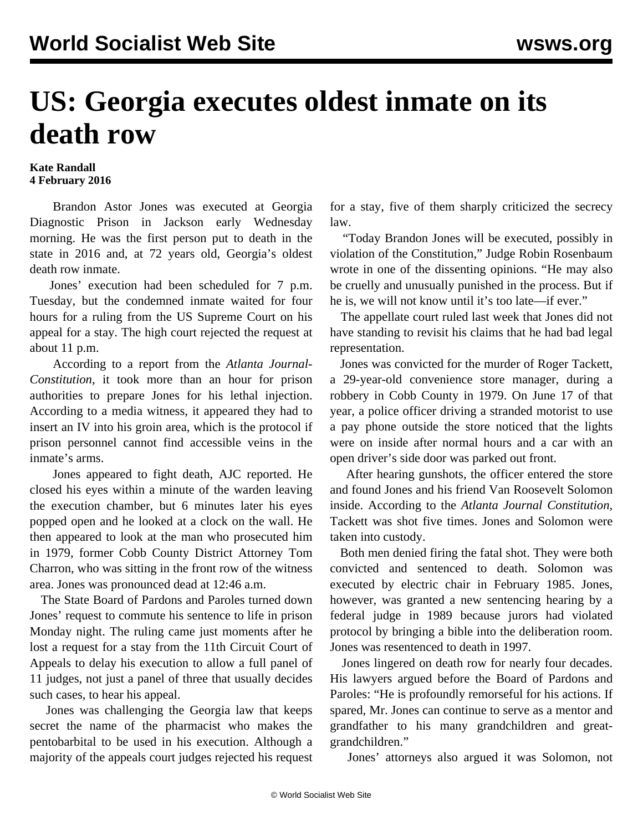## **US: Georgia executes oldest inmate on its death row**

## **Kate Randall 4 February 2016**

 Brandon Astor Jones was executed at Georgia Diagnostic Prison in Jackson early Wednesday morning. He was the first person put to death in the state in 2016 and, at 72 years old, Georgia's oldest death row inmate.

 Jones' execution had been scheduled for 7 p.m. Tuesday, but the condemned inmate waited for four hours for a ruling from the US Supreme Court on his appeal for a stay. The high court rejected the request at about 11 p.m.

 According to a [report](http://www.ajc.com/news/news/local/brandon-astor-jones-waits-while-lawyers-try-to-sto/nqHqc/) from the *Atlanta Journal-Constitution*, it took more than an hour for prison authorities to prepare Jones for his lethal injection. According to a media witness, it appeared they had to insert an IV into his groin area, which is the protocol if prison personnel cannot find accessible veins in the inmate's arms.

 Jones appeared to fight death, [AJC](http://www.ajc.com/news/news/local/brandon-astor-jones-waits-while-lawyers-try-to-sto/nqHqc/) reported. He closed his eyes within a minute of the warden leaving the execution chamber, but 6 minutes later his eyes popped open and he looked at a clock on the wall. He then appeared to look at the man who prosecuted him in 1979, former Cobb County District Attorney Tom Charron, who was sitting in the front row of the witness area. Jones was pronounced dead at 12:46 a.m.

 The State Board of Pardons and Paroles turned down Jones' request to commute his sentence to life in prison Monday night. The ruling came just moments after he lost a request for a stay from the 11th Circuit Court of Appeals to delay his execution to allow a full panel of 11 judges, not just a panel of three that usually decides such cases, to hear his appeal.

 Jones was challenging the Georgia law that keeps secret the name of the pharmacist who makes the pentobarbital to be used in his execution. Although a majority of the appeals court judges rejected his request for a stay, five of them sharply criticized the secrecy law.

 "Today Brandon Jones will be executed, possibly in violation of the Constitution," Judge Robin Rosenbaum wrote in one of the dissenting opinions. "He may also be cruelly and unusually punished in the process. But if he is, we will not know until it's too late—if ever."

 The appellate court ruled last week that Jones did not have standing to revisit his claims that he had bad legal representation.

 Jones was convicted for the murder of Roger Tackett, a 29-year-old convenience store manager, during a robbery in Cobb County in 1979. On June 17 of that year, a police officer driving a stranded motorist to use a pay phone outside the store noticed that the lights were on inside after normal hours and a car with an open driver's side door was parked out front.

 After hearing gunshots, the officer entered the store and found Jones and his friend Van Roosevelt Solomon inside. [According](http://www.ajc.com/news/news/local/parole-board-weighing-arguments-for-and-against-jo/nqG5b/) to the *Atlanta Journal Constitution*, Tackett was shot five times. Jones and Solomon were taken into custody.

 Both men denied firing the fatal shot. They were both convicted and sentenced to death. Solomon was executed by electric chair in February 1985. Jones, however, was granted a new sentencing hearing by a federal judge in 1989 because jurors had violated protocol by bringing a bible into the deliberation room. Jones was resentenced to death in 1997.

 Jones lingered on death row for nearly four decades. His lawyers argued before the Board of Pardons and Paroles: "He is profoundly remorseful for his actions. If spared, Mr. Jones can continue to serve as a mentor and grandfather to his many grandchildren and greatgrandchildren."

Jones' attorneys also argued it was Solomon, not